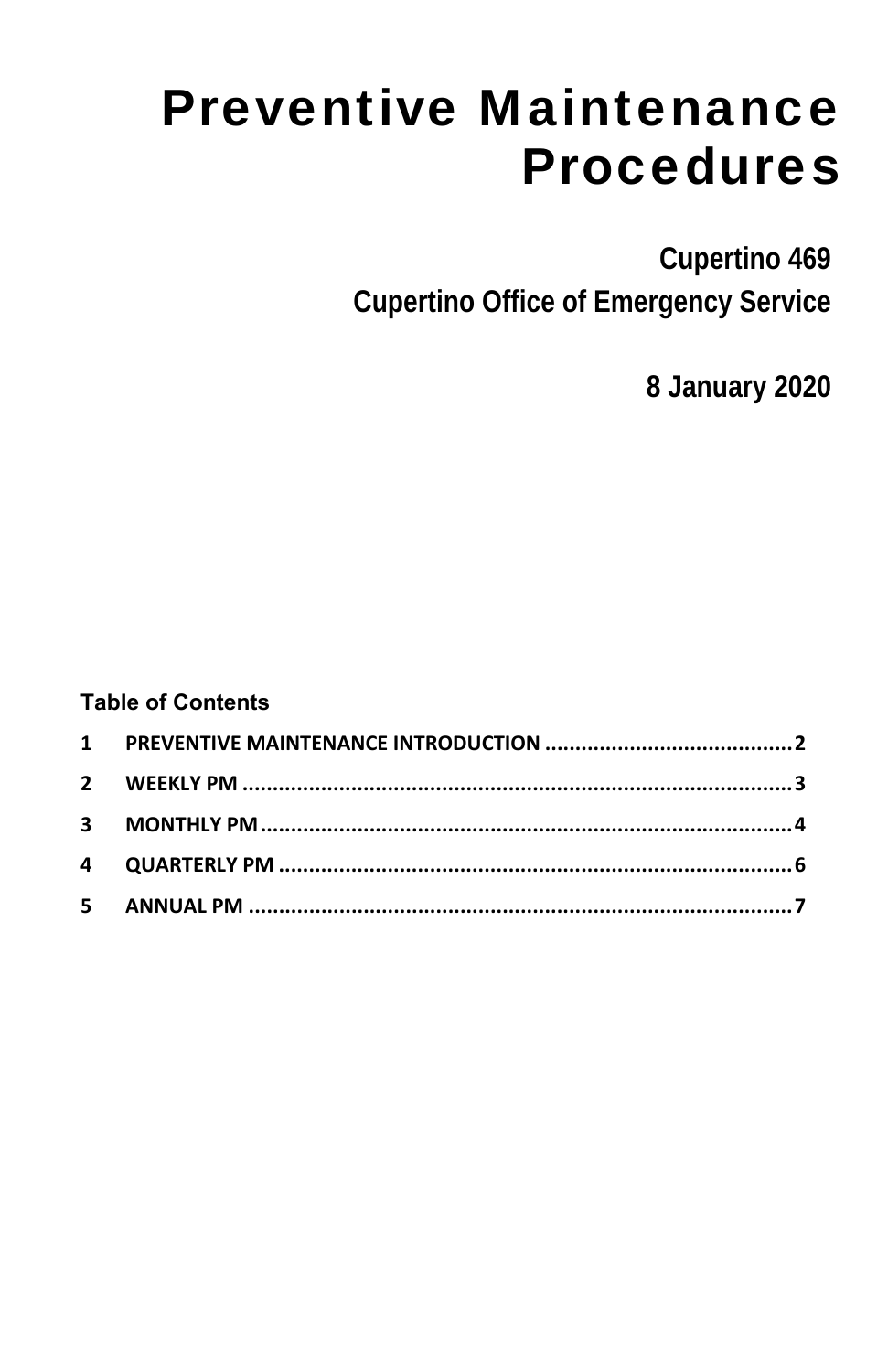# Preventive Maintenance Procedures

**Cupertino 469 Cupertino Office of Emergency Service** 

**8 January 2020** 

#### **Table of Contents**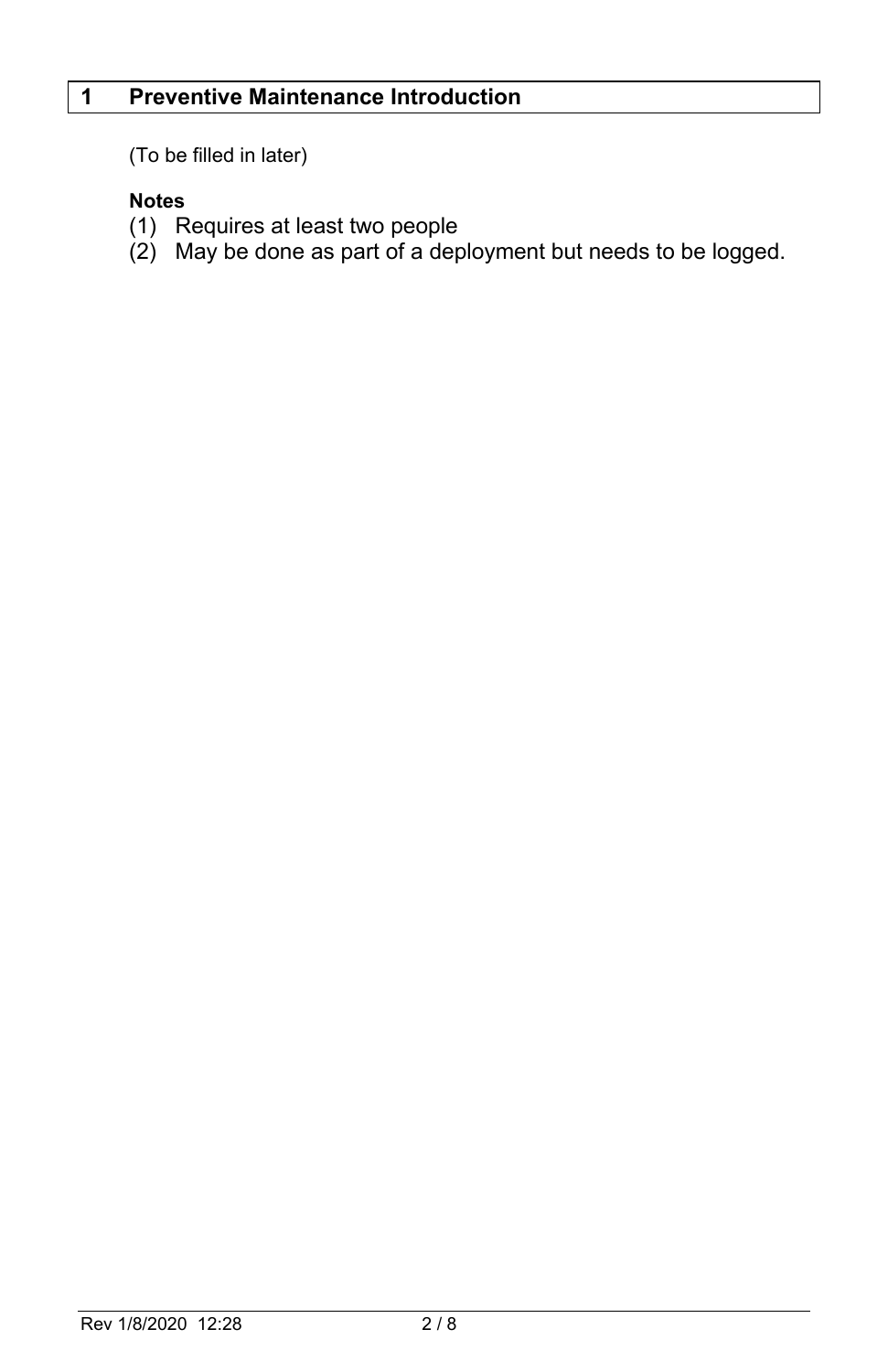#### **1 Preventive Maintenance Introduction**

(To be filled in later)

#### **Notes**

- (1) Requires at least two people
- (2) May be done as part of a deployment but needs to be logged.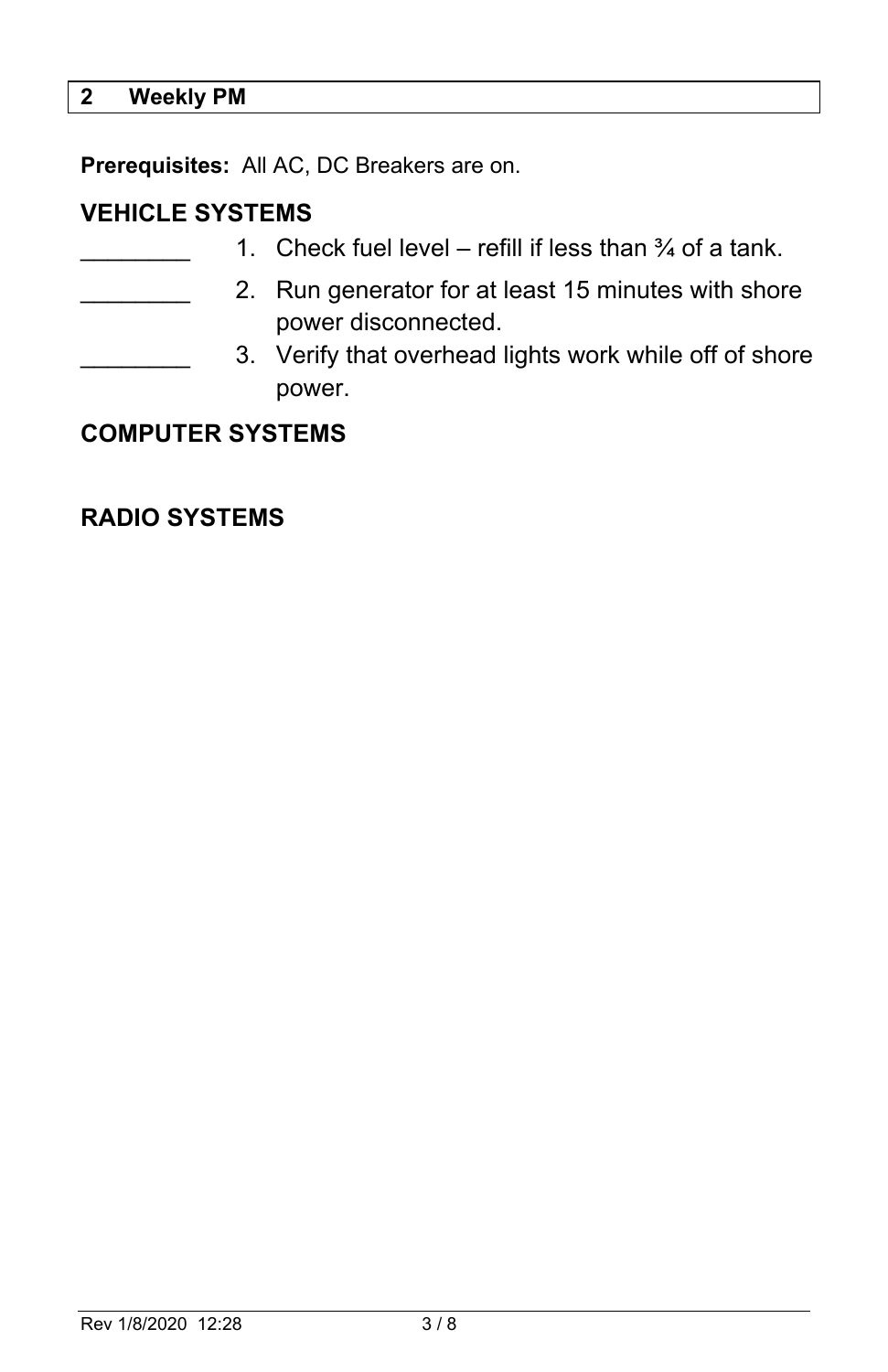#### **2 Weekly PM**

**Prerequisites:** All AC, DC Breakers are on.

#### **VEHICLE SYSTEMS**

|                         |  | 1. Check fuel level – refill if less than $\frac{3}{4}$ of a tank.         |
|-------------------------|--|----------------------------------------------------------------------------|
|                         |  | 2. Run generator for at least 15 minutes with shore<br>power disconnected. |
|                         |  | 3. Verify that overhead lights work while off of shore<br>power.           |
| <b>COMPUTER SYSTEMS</b> |  |                                                                            |

# **RADIO SYSTEMS**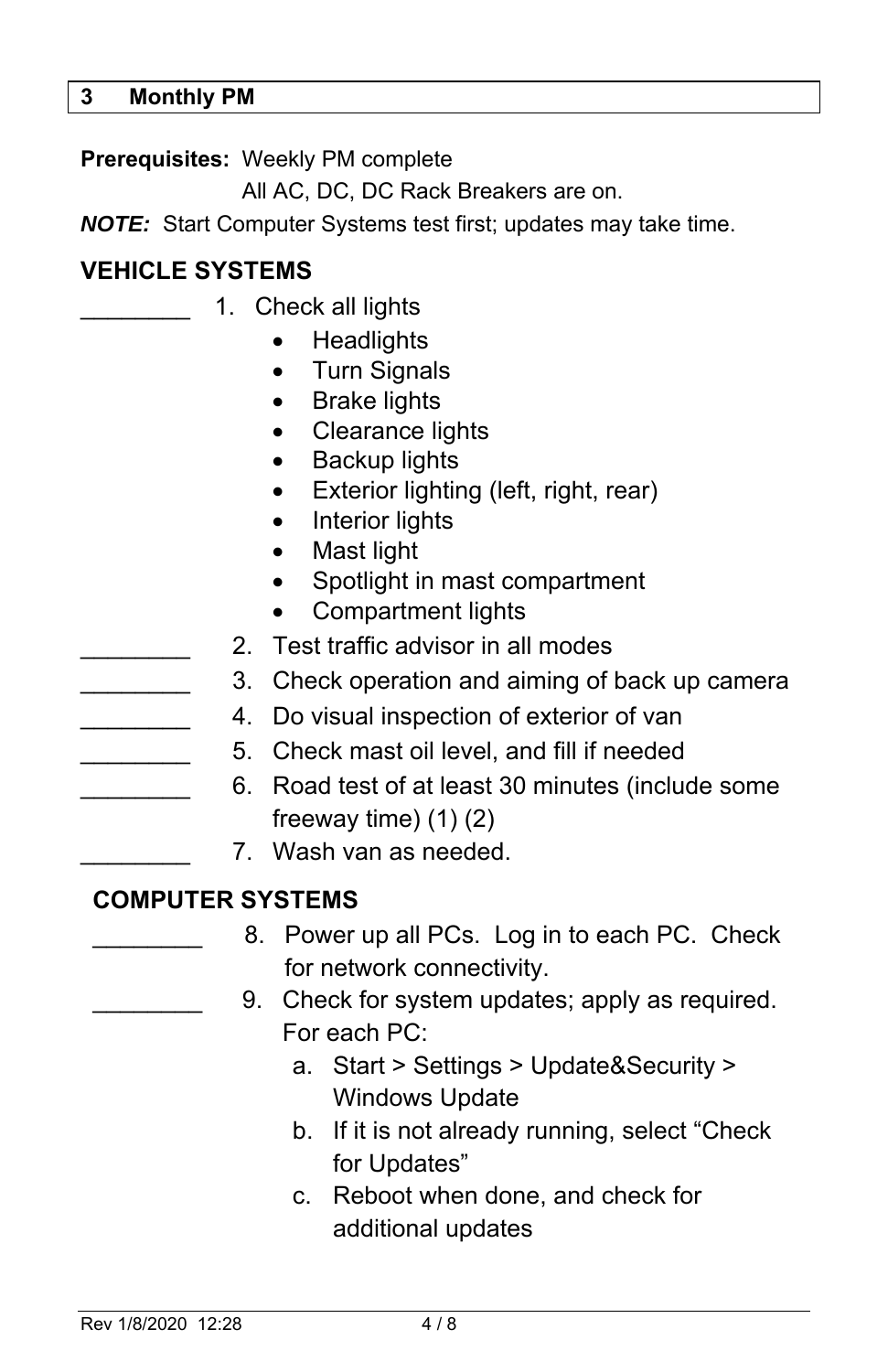**Prerequisites:** Weekly PM complete

All AC, DC, DC Rack Breakers are on.

*NOTE:* Start Computer Systems test first; updates may take time.

#### **VEHICLE SYSTEMS**

- 1. Check all lights
	- **Headlights**
	- Turn Signals
	- Brake lights
	- Clearance lights
	- Backup lights
	- Exterior lighting (left, right, rear)
	- Interior lights
	- Mast light
	- Spotlight in mast compartment
	- Compartment lights
	- 2. Test traffic advisor in all modes
	- 3. Check operation and aiming of back up camera
	- 4. Do visual inspection of exterior of van
	- 5. Check mast oil level, and fill if needed
	- \_\_\_\_\_\_\_\_ 6. Road test of at least 30 minutes (include some freeway time) (1) (2)
	- \_\_\_\_\_\_\_\_ 7. Wash van as needed.

#### **COMPUTER SYSTEMS**

- 8. Power up all PCs. Log in to each PC. Check for network connectivity.
- 9. Check for system updates; apply as required. For each PC:
	- a. Start > Settings > Update&Security > Windows Update
	- b. If it is not already running, select "Check for Updates"
	- c. Reboot when done, and check for additional updates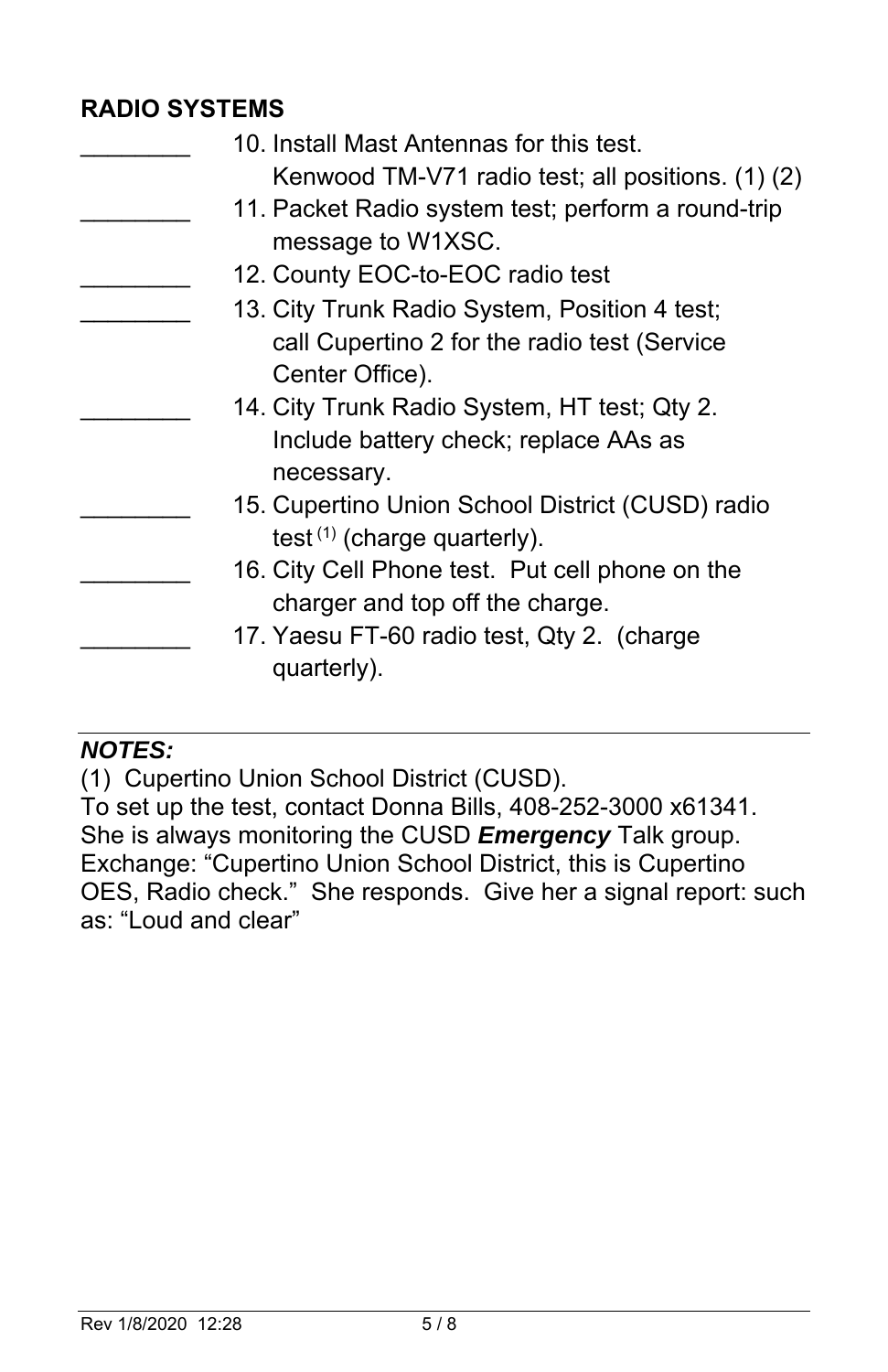### **RADIO SYSTEMS**

| 10. Install Mast Antennas for this test.           |
|----------------------------------------------------|
| Kenwood TM-V71 radio test; all positions. (1) (2)  |
| 11. Packet Radio system test; perform a round-trip |
| message to W1XSC.                                  |
| 12. County EOC-to-EOC radio test                   |
| 13. City Trunk Radio System, Position 4 test;      |
| call Cupertino 2 for the radio test (Service       |
| Center Office).                                    |
| 14. City Trunk Radio System, HT test; Qty 2.       |
| Include battery check; replace AAs as              |
| necessary.                                         |
| 15. Cupertino Union School District (CUSD) radio   |
| test $(1)$ (charge quarterly).                     |
| 16. City Cell Phone test. Put cell phone on the    |
| charger and top off the charge.                    |
| 17. Yaesu FT-60 radio test, Qty 2. (charge         |
| quarterly).                                        |
|                                                    |

# *NOTES:*

(1) Cupertino Union School District (CUSD).

To set up the test, contact Donna Bills, 408-252-3000 x61341. She is always monitoring the CUSD *Emergency* Talk group. Exchange: "Cupertino Union School District, this is Cupertino OES, Radio check." She responds. Give her a signal report: such as: "Loud and clear"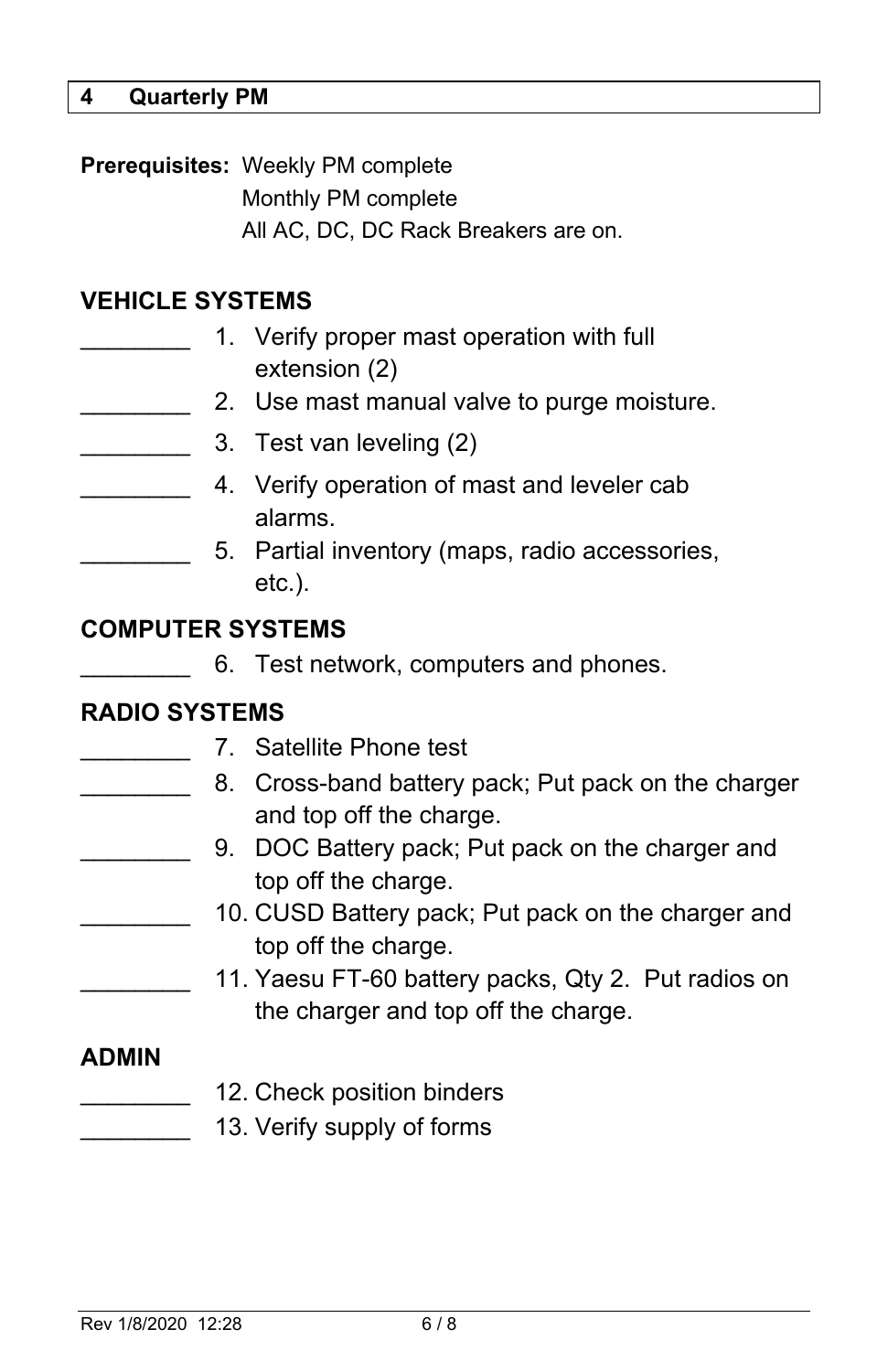#### **4 Quarterly PM**

**Prerequisites:** Weekly PM complete Monthly PM complete All AC, DC, DC Rack Breakers are on.

# **VEHICLE SYSTEMS**

|  | 1. Verify proper mast operation with full<br>extension (2)  |
|--|-------------------------------------------------------------|
|  | 2. Use mast manual valve to purge moisture.                 |
|  | 3. Test van leveling (2)                                    |
|  | 4. Verify operation of mast and leveler cab<br>alarms.      |
|  | 5. Partial inventory (maps, radio accessories,<br>$etc.$ ). |
|  |                                                             |

#### **COMPUTER SYSTEMS**

|  |  | 6. Test network, computers and phones. |  |  |
|--|--|----------------------------------------|--|--|
|--|--|----------------------------------------|--|--|

# **RADIO SYSTEMS**

|              | 7. Satellite Phone test                             |
|--------------|-----------------------------------------------------|
|              | 8. Cross-band battery pack; Put pack on the charger |
|              | and top off the charge.                             |
|              | 9. DOC Battery pack; Put pack on the charger and    |
|              | top off the charge.                                 |
|              | 10. CUSD Battery pack; Put pack on the charger and  |
|              | top off the charge.                                 |
|              | 11. Yaesu FT-60 battery packs, Qty 2. Put radios on |
|              | the charger and top off the charge.                 |
| <b>ADMIN</b> |                                                     |
|              | 12. Check position binders                          |
|              | 13. Verify supply of forms                          |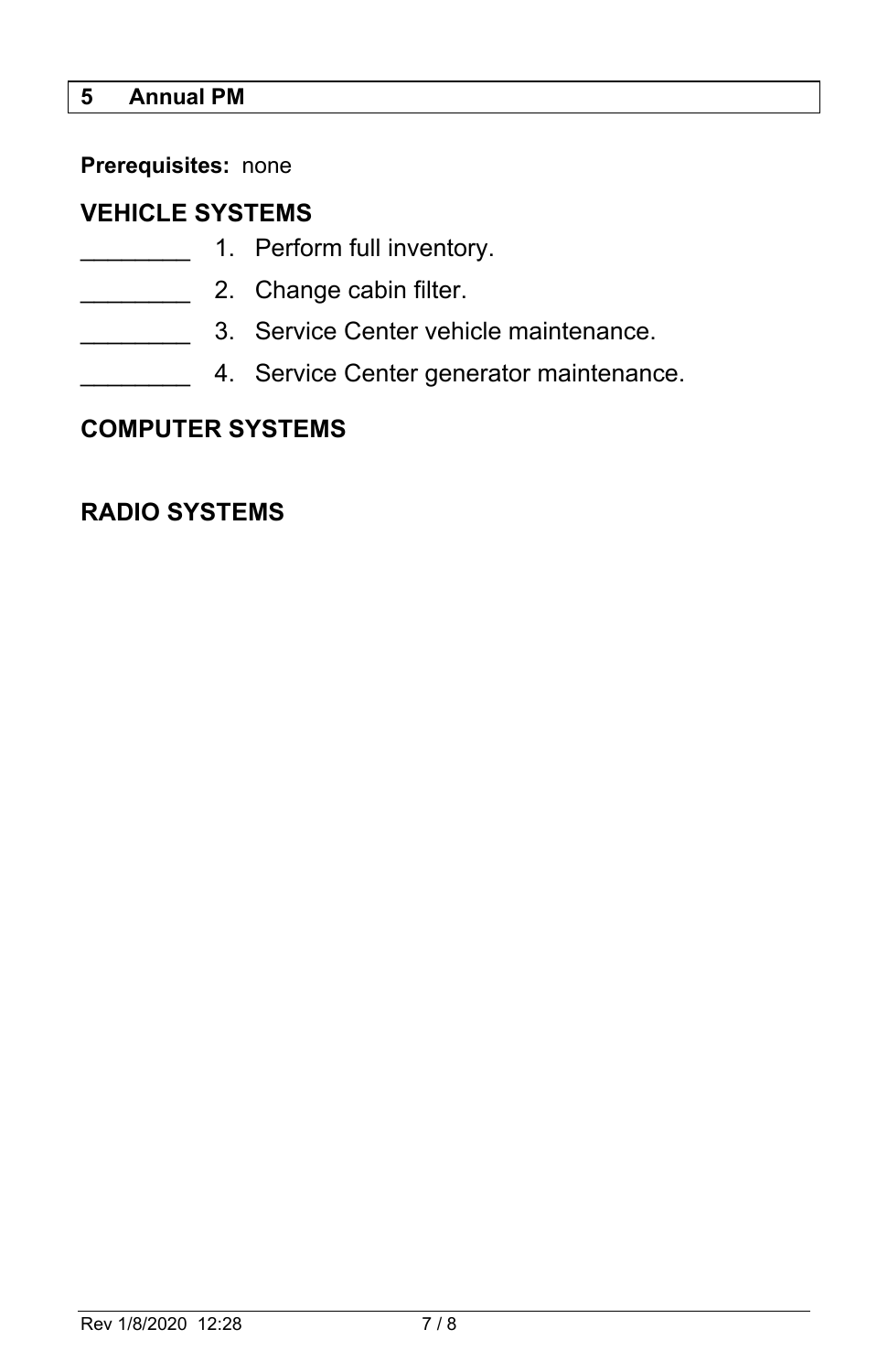# **5 Annual PM**

**Prerequisites:** none

# **VEHICLE SYSTEMS**

- **with the 1.** Perform full inventory.
- **2.** Change cabin filter.
- 3. Service Center vehicle maintenance.
- 4. Service Center generator maintenance.

## **COMPUTER SYSTEMS**

#### **RADIO SYSTEMS**